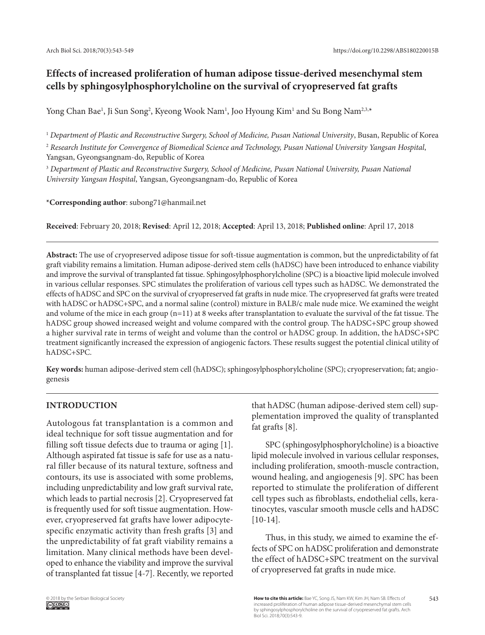# **Effects of increased proliferation of human adipose tissue-derived mesenchymal stem cells by sphingosylphosphorylcholine on the survival of cryopreserved fat grafts**

Yong Chan Bae<sup>1</sup>, Ji Sun Song<sup>2</sup>, Kyeong Wook Nam<sup>1</sup>, Joo Hyoung Kim<sup>1</sup> and Su Bong Nam<sup>2,3,</sup>\*

<sup>1</sup> *Department of Plastic and Reconstructive Surgery, School of Medicine, Pusan National University*, Busan, Republic of Korea

<sup>2</sup> *Research Institute for Convergence of Biomedical Science and Technology, Pusan National University Yangsan Hospital*, Yangsan, Gyeongsangnam-do, Republic of Korea

<sup>3</sup> *Department of Plastic and Reconstructive Surgery, School of Medicine, Pusan National University, Pusan National University Yangsan Hospital*, Yangsan, Gyeongsangnam-do, Republic of Korea

**\*Corresponding author**: subong71@hanmail.net

**Received**: February 20, 2018; **Revised**: April 12, 2018; **Accepted**: April 13, 2018; **Published online**: April 17, 2018

**Abstract:** The use of cryopreserved adipose tissue for soft-tissue augmentation is common, but the unpredictability of fat graft viability remains a limitation. Human adipose-derived stem cells (hADSC) have been introduced to enhance viability and improve the survival of transplanted fat tissue. Sphingosylphosphorylcholine (SPC) is a bioactive lipid molecule involved in various cellular responses. SPC stimulates the proliferation of various cell types such as hADSC. We demonstrated the effects of hADSC and SPC on the survival of cryopreserved fat grafts in nude mice. The cryopreserved fat grafts were treated with hADSC or hADSC+SPC, and a normal saline (control) mixture in BALB/c male nude mice. We examined the weight and volume of the mice in each group  $(n=11)$  at 8 weeks after transplantation to evaluate the survival of the fat tissue. The hADSC group showed increased weight and volume compared with the control group. The hADSC+SPC group showed a higher survival rate in terms of weight and volume than the control or hADSC group. In addition, the hADSC+SPC treatment significantly increased the expression of angiogenic factors. These results suggest the potential clinical utility of hADSC+SPC.

**Key words:** human adipose-derived stem cell (hADSC); sphingosylphosphorylcholine (SPC); cryopreservation; fat; angiogenesis

# **INTRODUCTION**

Autologous fat transplantation is a common and ideal technique for soft tissue augmentation and for filling soft tissue defects due to trauma or aging [1]. Although aspirated fat tissue is safe for use as a natural filler because of its natural texture, softness and contours, its use is associated with some problems, including unpredictability and low graft survival rate, which leads to partial necrosis [2]. Cryopreserved fat is frequently used for soft tissue augmentation. However, cryopreserved fat grafts have lower adipocytespecific enzymatic activity than fresh grafts [3] and the unpredictability of fat graft viability remains a limitation. Many clinical methods have been developed to enhance the viability and improve the survival of transplanted fat tissue [4-7]. Recently, we reported that hADSC (human adipose-derived stem cell) supplementation improved the quality of transplanted fat grafts [8].

SPC (sphingosylphosphorylcholine) is a bioactive lipid molecule involved in various cellular responses, including proliferation, smooth-muscle contraction, wound healing, and angiogenesis [9]. SPC has been reported to stimulate the proliferation of different cell types such as fibroblasts, endothelial cells, keratinocytes, vascular smooth muscle cells and hADSC [10-14].

Thus, in this study, we aimed to examine the effects of SPC on hADSC proliferation and demonstrate the effect of hADSC+SPC treatment on the survival of cryopreserved fat grafts in nude mice.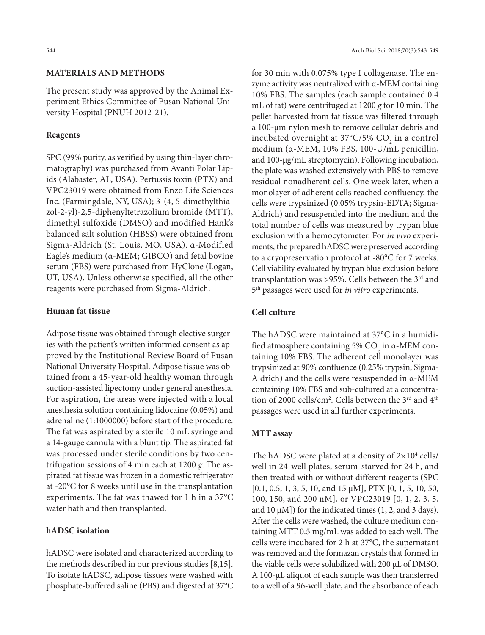### **MATERIALS AND METHODS**

The present study was approved by the Animal Experiment Ethics Committee of Pusan National University Hospital (PNUH 2012-21).

#### **Reagents**

SPC (99% purity, as verified by using thin-layer chromatography) was purchased from Avanti Polar Lipids (Alabaster, AL, USA). Pertussis toxin (PTX) and VPC23019 were obtained from Enzo Life Sciences Inc. (Farmingdale, NY, USA); 3-(4, 5-dimethylthiazol-2-yl)-2,5-diphenyltetrazolium bromide (MTT), dimethyl sulfoxide (DMSO) and modified Hank's balanced salt solution (HBSS) were obtained from Sigma-Aldrich (St. Louis, MO, USA). α-Modified Eagle's medium (α-MEM; GIBCO) and fetal bovine serum (FBS) were purchased from HyClone (Logan, UT, USA). Unless otherwise specified, all the other reagents were purchased from Sigma-Aldrich.

### **Human fat tissue**

Adipose tissue was obtained through elective surgeries with the patient's written informed consent as approved by the Institutional Review Board of Pusan National University Hospital. Adipose tissue was obtained from a 45-year-old healthy woman through suction-assisted lipectomy under general anesthesia. For aspiration, the areas were injected with a local anesthesia solution containing lidocaine (0.05%) and adrenaline (1:1000000) before start of the procedure. The fat was aspirated by a sterile 10 mL syringe and a 14-gauge cannula with a blunt tip. The aspirated fat was processed under sterile conditions by two centrifugation sessions of 4 min each at 1200 *g*. The aspirated fat tissue was frozen in a domestic refrigerator at -20°C for 8 weeks until use in the transplantation experiments. The fat was thawed for 1 h in a 37°C water bath and then transplanted.

#### **hADSC isolation**

hADSC were isolated and characterized according to the methods described in our previous studies [8,15]. To isolate hADSC, adipose tissues were washed with phosphate-buffered saline (PBS) and digested at 37°C

for 30 min with 0.075% type I collagenase. The enzyme activity was neutralized with α-MEM containing 10% FBS. The samples (each sample contained 0.4 mL of fat) were centrifuged at 1200 *g* for 10 min. The pellet harvested from fat tissue was filtered through a 100-μm nylon mesh to remove cellular debris and incubated overnight at 37°C/5%  $\mathrm{CO}_2$  in a control medium (α-MEM, 10% FBS, 100-U/mL penicillin, and 100-μg/mL streptomycin). Following incubation, the plate was washed extensively with PBS to remove residual nonadherent cells. One week later, when a monolayer of adherent cells reached confluency, the cells were trypsinized (0.05% trypsin-EDTA; Sigma-Aldrich) and resuspended into the medium and the total number of cells was measured by trypan blue exclusion with a hemocytometer. For *in vivo* experiments, the prepared hADSC were preserved according to a cryopreservation protocol at -80°C for 7 weeks. Cell viability evaluated by trypan blue exclusion before transplantation was >95%. Cells between the 3<sup>rd</sup> and 5th passages were used for *in vitro* experiments.

# **Cell culture**

The hADSC were maintained at 37°C in a humidified atmosphere containing 5% CO in  $\alpha$ -MEM containing 10% FBS. The adherent cell monolayer was trypsinized at 90% confluence (0.25% trypsin; Sigma-Aldrich) and the cells were resuspended in α-MEM containing 10% FBS and sub-cultured at a concentration of 2000 cells/cm<sup>2</sup>. Cells between the 3<sup>rd</sup> and 4<sup>th</sup> passages were used in all further experiments.

#### **MTT assay**

The hADSC were plated at a density of  $2\times10^4$  cells/ well in 24-well plates, serum-starved for 24 h, and then treated with or without different reagents (SPC [0.1, 0.5, 1, 3, 5, 10, and 15 μM], PTX [0, 1, 5, 10, 50, 100, 150, and 200 nM], or VPC23019 [0, 1, 2, 3, 5, and  $10 \mu M$ ]) for the indicated times (1, 2, and 3 days). After the cells were washed, the culture medium containing MTT 0.5 mg/mL was added to each well. The cells were incubated for 2 h at 37°C, the supernatant was removed and the formazan crystals that formed in the viable cells were solubilized with 200 μL of DMSO. A 100-μL aliquot of each sample was then transferred to a well of a 96-well plate, and the absorbance of each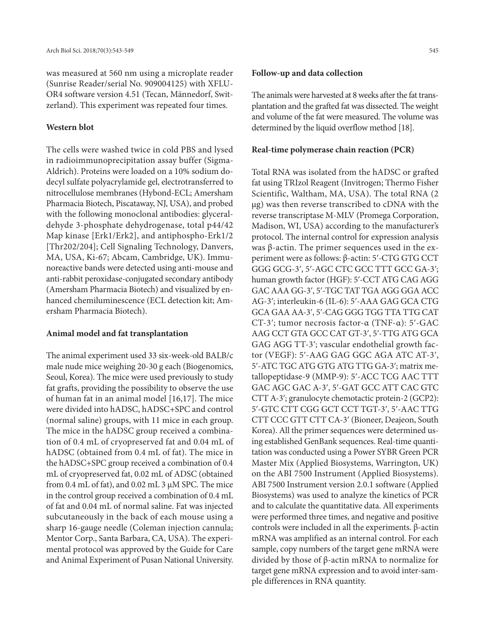was measured at 560 nm using a microplate reader (Sunrise Reader/serial No. 909004125) with XFLU-OR4 software version 4.51 (Tecan, Männedorf, Switzerland). This experiment was repeated four times.

# **Western blot**

The cells were washed twice in cold PBS and lysed in radioimmunoprecipitation assay buffer (Sigma-Aldrich). Proteins were loaded on a 10% sodium dodecyl sulfate polyacrylamide gel, electrotransferred to nitrocellulose membranes (Hybond-ECL; Amersham Pharmacia Biotech, Piscataway, NJ, USA), and probed with the following monoclonal antibodies: glyceraldehyde 3-phosphate dehydrogenase, total p44/42 Map kinase [Erk1/Erk2], and antiphospho-Erk1/2 [Thr202/204]; Cell Signaling Technology, Danvers, MA, USA, Ki-67; Abcam, Cambridge, UK). Immunoreactive bands were detected using anti-mouse and anti-rabbit peroxidase-conjugated secondary antibody (Amersham Pharmacia Biotech) and visualized by enhanced chemiluminescence (ECL detection kit; Amersham Pharmacia Biotech).

# **Animal model and fat transplantation**

The animal experiment used 33 six-week-old BALB/c male nude mice weighing 20-30 g each (Biogenomics, Seoul, Korea). The mice were used previously to study fat grafts, providing the possibility to observe the use of human fat in an animal model [16,17]. The mice were divided into hADSC, hADSC+SPC and control (normal saline) groups, with 11 mice in each group. The mice in the hADSC group received a combination of 0.4 mL of cryopreserved fat and 0.04 mL of hADSC (obtained from 0.4 mL of fat). The mice in the hADSC+SPC group received a combination of 0.4 mL of cryopreserved fat, 0.02 mL of ADSC (obtained from 0.4 mL of fat), and 0.02 mL 3 μM SPC. The mice in the control group received a combination of 0.4 mL of fat and 0.04 mL of normal saline. Fat was injected subcutaneously in the back of each mouse using a sharp 16-gauge needle (Coleman injection cannula; Mentor Corp., Santa Barbara, CA, USA). The experimental protocol was approved by the Guide for Care and Animal Experiment of Pusan National University.

#### **Follow-up and data collection**

The animals were harvested at 8 weeks after the fat transplantation and the grafted fat was dissected. The weight and volume of the fat were measured. The volume was determined by the liquid overflow method [18].

#### **Real-time polymerase chain reaction (PCR)**

Total RNA was isolated from the hADSC or grafted fat using TRIzol Reagent (Invitrogen; Thermo Fisher Scientific, Waltham, MA, USA). The total RNA (2 μg) was then reverse transcribed to cDNA with the reverse transcriptase M-MLV (Promega Corporation, Madison, WI, USA) according to the manufacturer's protocol. The internal control for expression analysis was β-actin. The primer sequences used in the experiment were as follows: β-actin: 5ʹ-CTG GTG CCT GGG GCG-3ʹ, 5ʹ-AGC CTC GCC TTT GCC GA-3ʹ; human growth factor (HGF): 5ʹ-CCT ATG CAG AGG GAC AAA GG-3ʹ, 5ʹ-TGC TAT TGA AGG GGA ACC AG-3ʹ; interleukin-6 (IL-6): 5ʹ-AAA GAG GCA CTG GCA GAA AA-3ʹ, 5ʹ-CAG GGG TGG TTA TTG CAT CT-3ʹ; tumor necrosis factor-α (TNF-α): 5ʹ-GAC AAG CCT GTA GCC CAT GT-3ʹ, 5ʹ-TTG ATG GCA GAG AGG TT-3ʹ; vascular endothelial growth factor (VEGF): 5ʹ-AAG GAG GGC AGA ATC AT-3ʹ, 5ʹ-ATC TGC ATG GTG ATG TTG GA-3ʹ; matrix metallopeptidase-9 (MMP-9): 5ʹ-ACC TCG AAC TTT GAC AGC GAC A-3ʹ, 5ʹ-GAT GCC ATT CAC GTC CTT A-3ʹ; granulocyte chemotactic protein-2 (GCP2): 5ʹ-GTC CTT CGG GCT CCT TGT-3ʹ, 5ʹ-AAC TTG CTT CCC GTT CTT CA-3ʹ (Bioneer, Deajeon, South Korea). All the primer sequences were determined using established GenBank sequences. Real-time quantitation was conducted using a Power SYBR Green PCR Master Mix (Applied Biosystems, Warrington, UK) on the ABI 7500 Instrument (Applied Biosystems). ABI 7500 Instrument version 2.0.1 software (Applied Biosystems) was used to analyze the kinetics of PCR and to calculate the quantitative data. All experiments were performed three times, and negative and positive controls were included in all the experiments. β-actin mRNA was amplified as an internal control. For each sample, copy numbers of the target gene mRNA were divided by those of β-actin mRNA to normalize for target gene mRNA expression and to avoid inter-sample differences in RNA quantity.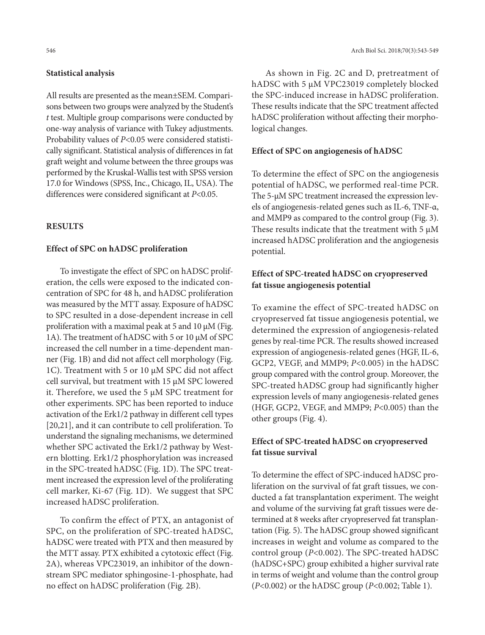# **Statistical analysis**

All results are presented as the mean±SEM. Comparisons between two groups were analyzed by the Student's *t* test. Multiple group comparisons were conducted by one-way analysis of variance with Tukey adjustments. Probability values of *P*<0.05 were considered statistically significant. Statistical analysis of differences in fat graft weight and volume between the three groups was performed by the Kruskal-Wallis test with SPSS version 17.0 for Windows (SPSS, Inc., Chicago, IL, USA). The differences were considered significant at *P*<0.05.

# **RESULTS**

#### **Effect of SPC on hADSC proliferation**

To investigate the effect of SPC on hADSC proliferation, the cells were exposed to the indicated concentration of SPC for 48 h, and hADSC proliferation was measured by the MTT assay. Exposure of hADSC to SPC resulted in a dose-dependent increase in cell proliferation with a maximal peak at 5 and 10 μM (Fig. 1A). The treatment of hADSC with 5 or 10 μM of SPC increased the cell number in a time-dependent manner (Fig. 1B) and did not affect cell morphology (Fig. 1C). Treatment with 5 or 10 μM SPC did not affect cell survival, but treatment with 15 μM SPC lowered it. Therefore, we used the 5 μM SPC treatment for other experiments. SPC has been reported to induce activation of the Erk1/2 pathway in different cell types [20,21], and it can contribute to cell proliferation. To understand the signaling mechanisms, we determined whether SPC activated the Erk1/2 pathway by Western blotting. Erk1/2 phosphorylation was increased in the SPC-treated hADSC (Fig. 1D). The SPC treatment increased the expression level of the proliferating cell marker, Ki-67 (Fig. 1D). We suggest that SPC increased hADSC proliferation.

To confirm the effect of PTX, an antagonist of SPC, on the proliferation of SPC-treated hADSC, hADSC were treated with PTX and then measured by the MTT assay. PTX exhibited a cytotoxic effect (Fig. 2A), whereas VPC23019, an inhibitor of the downstream SPC mediator sphingosine-1-phosphate, had no effect on hADSC proliferation (Fig. 2B).

As shown in Fig. 2C and D, pretreatment of hADSC with 5 μM VPC23019 completely blocked the SPC-induced increase in hADSC proliferation. These results indicate that the SPC treatment affected hADSC proliferation without affecting their morphological changes.

### **Effect of SPC on angiogenesis of hADSC**

To determine the effect of SPC on the angiogenesis potential of hADSC, we performed real-time PCR. The 5-μM SPC treatment increased the expression levels of angiogenesis-related genes such as IL-6, TNF-α, and MMP9 as compared to the control group (Fig. 3). These results indicate that the treatment with  $5 \mu M$ increased hADSC proliferation and the angiogenesis potential.

# **Effect of SPC-treated hADSC on cryopreserved fat tissue angiogenesis potential**

To examine the effect of SPC-treated hADSC on cryopreserved fat tissue angiogenesis potential, we determined the expression of angiogenesis-related genes by real-time PCR. The results showed increased expression of angiogenesis-related genes (HGF, IL-6, GCP2, VEGF, and MMP9; *P*<0.005) in the hADSC group compared with the control group. Moreover, the SPC-treated hADSC group had significantly higher expression levels of many angiogenesis-related genes (HGF, GCP2, VEGF, and MMP9; *P*<0.005) than the other groups (Fig. 4).

# **Effect of SPC-treated hADSC on cryopreserved fat tissue survival**

To determine the effect of SPC-induced hADSC proliferation on the survival of fat graft tissues, we conducted a fat transplantation experiment. The weight and volume of the surviving fat graft tissues were determined at 8 weeks after cryopreserved fat transplantation (Fig. 5). The hADSC group showed significant increases in weight and volume as compared to the control group (*P*<0.002). The SPC-treated hADSC (hADSC+SPC) group exhibited a higher survival rate in terms of weight and volume than the control group (*P*<0.002) or the hADSC group (*P*<0.002; Table 1).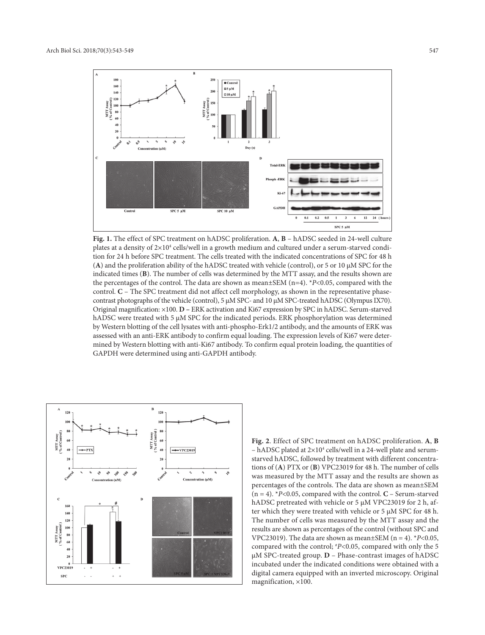

**Fig. 1.** The effect of SPC treatment on hADSC proliferation. **A**, **B** – hADSC seeded in 24-well culture plates at a density of 2×10<sup>4</sup> cells/well in a growth medium and cultured under a serum-starved condition for 24 h before SPC treatment. The cells treated with the indicated concentrations of SPC for 48 h (**A**) and the proliferation ability of the hADSC treated with vehicle (control), or 5 or 10 μM SPC for the indicated times (**B**). The number of cells was determined by the MTT assay, and the results shown are the percentages of the control. The data are shown as mean±SEM (n=4). \**P*<0.05, compared with the control. **C** – The SPC treatment did not affect cell morphology, as shown in the representative phasecontrast photographs of the vehicle (control), 5 μM SPC- and 10 μM SPC-treated hADSC (Olympus IX70). Original magnification: ×100. **D –** ERK activation and Ki67 expression by SPC in hADSC. Serum-starved hADSC were treated with 5 μM SPC for the indicated periods. ERK phosphorylation was determined by Western blotting of the cell lysates with anti-phospho-Erk1/2 antibody, and the amounts of ERK was assessed with an anti-ERK antibody to confirm equal loading. The expression levels of Ki67 were determined by Western blotting with anti-Ki67 antibody. To confirm equal protein loading, the quantities of GAPDH were determined using anti-GAPDH antibody.



**Fig. 2**. Effect of SPC treatment on hADSC proliferation. **A**, **B** - hADSC plated at  $2\times10^4$  cells/well in a 24-well plate and serumstarved hADSC, followed by treatment with different concentrations of (**A**) PTX or (**B**) VPC23019 for 48 h. The number of cells was measured by the MTT assay and the results are shown as percentages of the controls. The data are shown as mean±SEM  $(n = 4)$ . *\*P<0.05, compared with the control.*  $C$  – Serum-starved hADSC pretreated with vehicle or 5 μM VPC23019 for 2 h, after which they were treated with vehicle or 5 μM SPC for 48 h. The number of cells was measured by the MTT assay and the results are shown as percentages of the control (without SPC and VPC23019). The data are shown as mean $\pm$ SEM (n = 4).  $*P<0.05$ , compared with the control; # *P*<0.05, compared with only the 5 μM SPC-treated group. **D** – Phase-contrast images of hADSC incubated under the indicated conditions were obtained with a digital camera equipped with an inverted microscopy. Original magnification, ×100.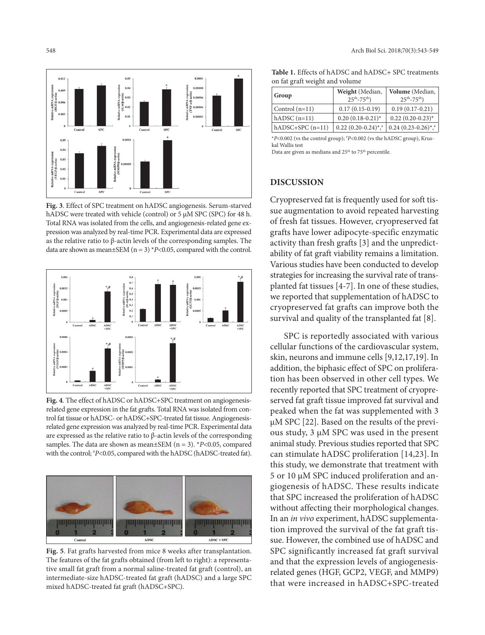

**Fig. 3**. Effect of SPC treatment on hADSC angiogenesis. Serum-starved hADSC were treated with vehicle (control) or 5 μM SPC (SPC) for 48 h. Total RNA was isolated from the cells, and angiogenesis-related gene expression was analyzed by real-time PCR. Experimental data are expressed as the relative ratio to β-actin levels of the corresponding samples. The data are shown as mean $\pm$ SEM (n = 3) \**P*<0.05, compared with the control.



**Fig. 4**. The effect of hADSC or hADSC+SPC treatment on angiogenesisrelated gene expression in the fat grafts. Total RNA was isolated from control fat tissue or hADSC- or hADSC+SPC-treated fat tissue. Angiogenesisrelated gene expression was analyzed by real-time PCR. Experimental data are expressed as the relative ratio to β-actin levels of the corresponding samples. The data are shown as mean $\pm$ SEM (n = 3). \**P*<0.05, compared with the control;  $P < 0.05$ , compared with the hADSC (hADSC-treated fat).



**Fig. 5**. Fat grafts harvested from mice 8 weeks after transplantation. The features of the fat grafts obtained (from left to right): a representative small fat graft from a normal saline-treated fat graft (control), an intermediate-size hADSC-treated fat graft (hADSC) and a large SPC mixed hADSC-treated fat graft (hADSC+SPC).

| $\frac{1}{2}$     |                                                  |                                          |
|-------------------|--------------------------------------------------|------------------------------------------|
| Group             | Weight (Median,<br>$25^{th} - 75^{th}$ )         | Volume (Median,<br>$25^{th} - 75^{th}$ ) |
| Control $(n=11)$  | $0.17(0.15-0.19)$                                | $0.19(0.17-0.21)$                        |
| $hADSC (n=11)$    | $0.20(0.18-0.21)$ *                              | $0.22$ $(0.20 - 0.23)$ <sup>*</sup>      |
| $hADSC+SPC(n=11)$ | $0.22$ $(0.20-0.24)$ <sup>*</sup> , <sup>*</sup> | $0.24(0.23-0.26)$ *,*                    |

**Table 1.** Effects of hADSC and hADSC+ SPC treatments on fat graft weight and volume

\**P*<0.002 (vs the control group); # *P*<0.002 (vs the hADSC group), Kruskal Wallis test

Data are given as medians and 25<sup>th</sup> to 75<sup>th</sup> percentile.

#### **DISCUSSION**

Cryopreserved fat is frequently used for soft tissue augmentation to avoid repeated harvesting of fresh fat tissues. However, cryopreserved fat grafts have lower adipocyte-specific enzymatic activity than fresh grafts [3] and the unpredictability of fat graft viability remains a limitation. Various studies have been conducted to develop strategies for increasing the survival rate of transplanted fat tissues [4-7]. In one of these studies, we reported that supplementation of hADSC to cryopreserved fat grafts can improve both the survival and quality of the transplanted fat [8].

SPC is reportedly associated with various cellular functions of the cardiovascular system, skin, neurons and immune cells [9,12,17,19]. In addition, the biphasic effect of SPC on proliferation has been observed in other cell types. We recently reported that SPC treatment of cryopreserved fat graft tissue improved fat survival and peaked when the fat was supplemented with 3 μM SPC [22]. Based on the results of the previous study, 3 μM SPC was used in the present animal study. Previous studies reported that SPC can stimulate hADSC proliferation [14,23].In this study, we demonstrate that treatment with 5 or 10 μM SPC induced proliferation and angiogenesis of hADSC. These results indicate that SPC increased the proliferation of hADSC without affecting their morphological changes. In an *in vivo* experiment, hADSC supplementation improved the survival of the fat graft tissue. However, the combined use of hADSC and SPC significantly increased fat graft survival and that the expression levels of angiogenesisrelated genes (HGF, GCP2, VEGF, and MMP9) that were increased in hADSC+SPC-treated